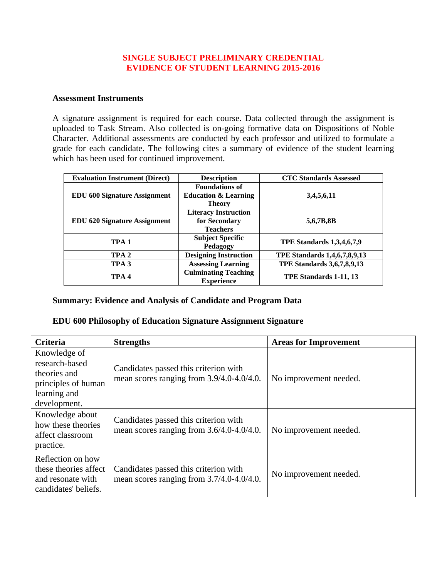### **SINGLE SUBJECT PRELIMINARY CREDENTIAL EVIDENCE OF STUDENT LEARNING 2015-2016**

#### **Assessment Instruments**

A signature assignment is required for each course. Data collected through the assignment is uploaded to Task Stream. Also collected is on-going formative data on Dispositions of Noble Character. Additional assessments are conducted by each professor and utilized to formulate a grade for each candidate. The following cites a summary of evidence of the student learning which has been used for continued improvement.

| <b>Evaluation Instrument (Direct)</b> | <b>Description</b>              | <b>CTC Standards Assessed</b>     |
|---------------------------------------|---------------------------------|-----------------------------------|
|                                       | <b>Foundations of</b>           |                                   |
| <b>EDU 600 Signature Assignment</b>   | <b>Education &amp; Learning</b> | 3,4,5,6,11                        |
|                                       | <b>Theory</b>                   |                                   |
| <b>EDU 620 Signature Assignment</b>   | <b>Literacy Instruction</b>     |                                   |
|                                       | for Secondary                   | 5,6,7B,8B                         |
|                                       | <b>Teachers</b>                 |                                   |
| TPA <sub>1</sub>                      | <b>Subject Specific</b>         |                                   |
|                                       | Pedagogy                        | <b>TPE Standards 1,3,4,6,7,9</b>  |
| TPA <sub>2</sub>                      | <b>Designing Instruction</b>    | TPE Standards 1,4,6,7,8,9,13      |
| TPA <sub>3</sub>                      | <b>Assessing Learning</b>       | <b>TPE Standards 3,6,7,8,9,13</b> |
| TPA <sub>4</sub>                      | <b>Culminating Teaching</b>     |                                   |
|                                       | <b>Experience</b>               | TPE Standards 1-11, 13            |

### **Summary: Evidence and Analysis of Candidate and Program Data**

### **EDU 600 Philosophy of Education Signature Assignment Signature**

| <b>Criteria</b>                                                                                       | <b>Strengths</b>                                                                   | <b>Areas for Improvement</b> |
|-------------------------------------------------------------------------------------------------------|------------------------------------------------------------------------------------|------------------------------|
| Knowledge of<br>research-based<br>theories and<br>principles of human<br>learning and<br>development. | Candidates passed this criterion with<br>mean scores ranging from 3.9/4.0-4.0/4.0. | No improvement needed.       |
| Knowledge about<br>how these theories<br>affect classroom<br>practice.                                | Candidates passed this criterion with<br>mean scores ranging from 3.6/4.0-4.0/4.0. | No improvement needed.       |
| Reflection on how<br>these theories affect<br>and resonate with<br>candidates' beliefs.               | Candidates passed this criterion with<br>mean scores ranging from 3.7/4.0-4.0/4.0. | No improvement needed.       |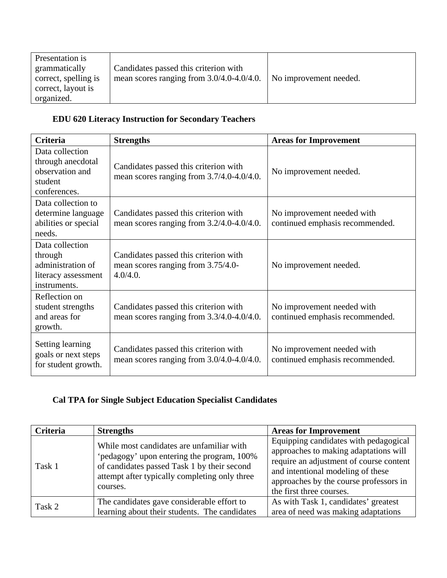| Presentation is      |                                                |                        |
|----------------------|------------------------------------------------|------------------------|
| grammatically        | Candidates passed this criterion with          |                        |
| correct, spelling is | mean scores ranging from $3.0/4.0 - 4.0/4.0$ . | No improvement needed. |
| correct, layout is   |                                                |                        |
| organized.           |                                                |                        |

# **EDU 620 Literacy Instruction for Secondary Teachers**

| <b>Criteria</b>                                                                        | <b>Strengths</b>                                                                        | <b>Areas for Improvement</b>                                  |
|----------------------------------------------------------------------------------------|-----------------------------------------------------------------------------------------|---------------------------------------------------------------|
| Data collection<br>through anecdotal<br>observation and<br>student<br>conferences.     | Candidates passed this criterion with<br>mean scores ranging from 3.7/4.0-4.0/4.0.      | No improvement needed.                                        |
| Data collection to<br>determine language<br>abilities or special<br>needs.             | Candidates passed this criterion with<br>mean scores ranging from $3.2/4.0 - 4.0/4.0$ . | No improvement needed with<br>continued emphasis recommended. |
| Data collection<br>through<br>administration of<br>literacy assessment<br>instruments. | Candidates passed this criterion with<br>mean scores ranging from 3.75/4.0-<br>4.0/4.0. | No improvement needed.                                        |
| Reflection on<br>student strengths<br>and areas for<br>growth.                         | Candidates passed this criterion with<br>mean scores ranging from 3.3/4.0-4.0/4.0.      | No improvement needed with<br>continued emphasis recommended. |
| Setting learning<br>goals or next steps<br>for student growth.                         | Candidates passed this criterion with<br>mean scores ranging from 3.0/4.0-4.0/4.0.      | No improvement needed with<br>continued emphasis recommended. |

# **Cal TPA for Single Subject Education Specialist Candidates**

| <b>Criteria</b> | <b>Strengths</b>                                                                                                                                                                                    | <b>Areas for Improvement</b>                                                                                                                                                                                                         |
|-----------------|-----------------------------------------------------------------------------------------------------------------------------------------------------------------------------------------------------|--------------------------------------------------------------------------------------------------------------------------------------------------------------------------------------------------------------------------------------|
| Task 1          | While most candidates are unfamiliar with<br>'pedagogy' upon entering the program, 100%<br>of candidates passed Task 1 by their second<br>attempt after typically completing only three<br>courses. | Equipping candidates with pedagogical<br>approaches to making adaptations will<br>require an adjustment of course content<br>and intentional modeling of these<br>approaches by the course professors in<br>the first three courses. |
| Task 2          | The candidates gave considerable effort to<br>learning about their students. The candidates                                                                                                         | As with Task 1, candidates' greatest<br>area of need was making adaptations                                                                                                                                                          |